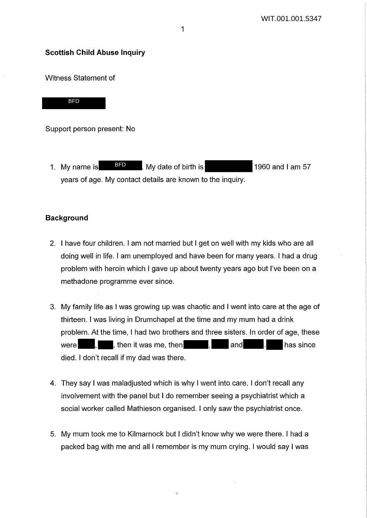#### **Scottish Child Abuse Inquiry**

Witness Statement of

BFD

Support person present: No

1. My name is **BFD** BHD B My date of birth is **1960** and I am 57 years of age. My contact details are known to the inquiry.

## **Background**

- 2. I have four children. I am not married but I get on well with my kids who are all doing well in life. I am unemployed and have been for many years. I had a drug problem with heroin which I gave up about twenty years ago but I've been on a methadone programme ever since.
- 3. My family life as I was growing up was chaotic and I went into care at the age of thirteen. I was living in Drumchapel at the time and my mum had a drink problem. At the time, I had two brothers and three sisters. In order of age, these were  $\blacksquare$ , then it was me, then  $\blacksquare$ , and  $\blacksquare$ . has since died. I don't recall if my dad was there.
- 4. They say I was maladjusted which is why I went into care. I don't recall any involvement with the panel but I do remember seeing a psychiatrist which a social worker called Mathieson organised. I only saw the psychiatrist once.
- 5. My mum took me to Kilmarnock but I didn't know why we were there. I had a packed bag with me and all I remember is my mum crying. I would say I was

ų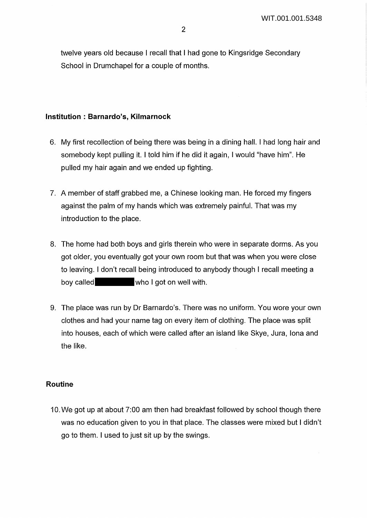twelve years old because I recall that I had gone to Kingsridge Secondary School in Drumchapel for a couple of months.

#### **Institution : Barnardo's, Kilmarnock**

- 6. My first recollection of being there was being in a dining hall. I had long hair and somebody kept pulling it. I told him if he did it again, I would "have him". He pulled my hair again and we ended up fighting.
- 7. A member of staff grabbed me, a Chinese looking man. He forced my fingers against the palm of my hands which was extremely painful. That was my introduction to the place.
- 8. The home had both boys and girls therein who were in separate dorms. As you got older, you eventually got your own room but that was when you were close to leaving. I don't recall being introduced to anybody though I recall meeting a boy called who I got on well with.
- 9. The place was run by Dr Barnardo's. There was no uniform. You wore your own clothes and had your name tag on every item of clothing. The place was split into houses, each of which were called after an island like Skye, Jura, Iona and the like.

## **Routine**

10. We got up at about 7:00 am then had breakfast followed by school though there was no education given to you in that place. The classes were mixed but I didn't go to them. I used to just sit up by the swings.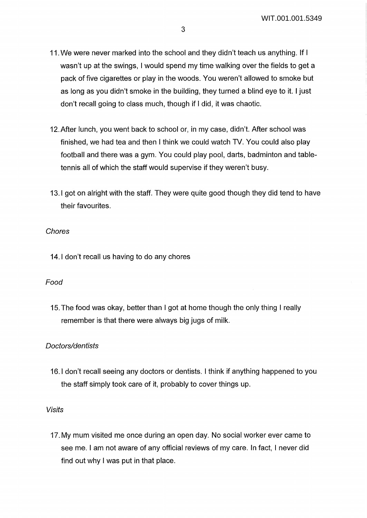- 11. We were never marked into the school and they didn't teach us anything. If I wasn't up at the swings, I would spend my time walking over the fields to get a pack of five cigarettes or play in the woods. You weren't allowed to smoke but as long as you didn't smoke in the building, they turned a blind eye to it. I just don't recall going to class much, though if I did, it was chaotic.
- 12.After lunch, you went back to school or, in my case, didn't. After school was finished, we had tea and then I think we could watch TV. You could also play football and there was a gym. You could play pool, darts, badminton and tabletennis all of which the staff would supervise if they weren't busy.
- 13.1 got on alright with the staff. They were quite good though they did tend to have their favourites.

## **Chores**

**14.1** don't recall us having to do any chores

# Food

15. The food was okay, better than I got at home though the only thing I really remember is that there were always big jugs of milk.

# Doctors/dentists

16.1 don't recall seeing any doctors or dentists. I think if anything happened to you the staff simply took care of it, probably to cover things up.

## Visits

17. My mum visited me once during an open day. No social worker ever came to see me. I am not aware of any official reviews of my care. In fact, I never did find out why I was put in that place.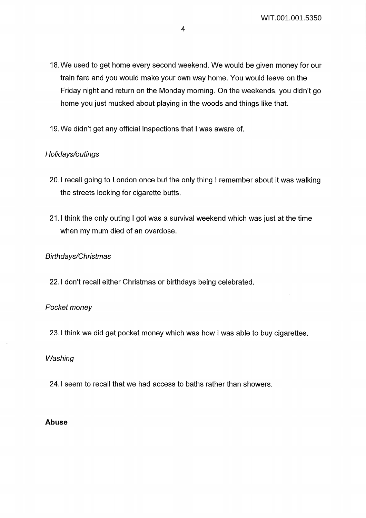- 18. We used to get home every second weekend. We would be given money for our train fare and you would make your own way home. You would leave on the Friday night and return on the Monday morning. On the weekends, you didn't go home you just mucked about playing in the woods and things like that.
- 19. We didn't get any official inspections that I was aware of.

# Holidays/outings

- 20.1 recall going to London once but the only thing I remember about it was walking the streets looking for cigarette butts.
- 21.1 think the only outing I got was a survival weekend which was just at the time when my mum died of an overdose.

## Birthdays/Christmas

22.1 don't recall either Christmas or birthdays being celebrated.

## Pocket money

23.1 think we did get pocket money which was how I was able to buy cigarettes.

#### **Washing**

24.1 seem to recall that we had access to baths rather than showers.

#### **Abuse**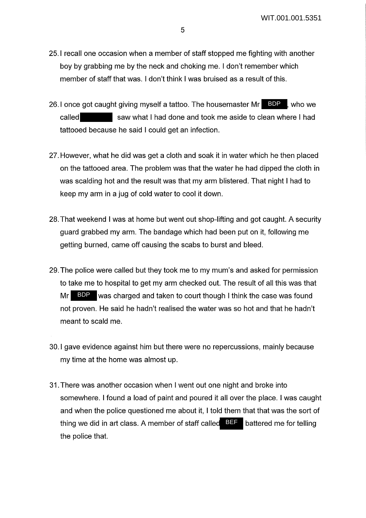- 25.1 recall one occasion when a member of staff stopped me fighting with another boy by grabbing me by the neck and choking me. I don't remember which member of staff that was. I don't think I was bruised as a result of this.
- 26.1 once got caught giving myself a tattoo. The housemaster Mr called saw what I had done and took me aside to clean where I had tattooed because he said I could get an infection. BDP who we
- 27. However, what he did was get a cloth and soak it in water which he then placed on the tattooed area. The problem was that the water he had dipped the cloth in was scalding hot and the result was that my arm blistered. That night I had to keep my arm in a jug of cold water to cool it down.
- 28. That weekend I was at home but went out shop-lifting and got caught. A security guard grabbed my arm. The bandage which had been put on it, following me getting burned, came off causing the scabs to burst and bleed.
- 29. The police were called but they took me to my mum's and asked for permission to take me to hospital to get my arm checked out. The result of all this was that Mr BDP was charged and taken to court though I think the case was found not proven. He said he hadn't realised the water was so hot and that he hadn't meant to scald me.
- 30.1 gave evidence against him but there were no repercussions, mainly because my time at the home was almost up.
- 31. There was another occasion when I went out one night and broke into somewhere. I found a load of paint and poured it all over the place. I was caught and when the police questioned me about it, I told them that that was the sort of thing we did in art class. A member of staff called **BEF** battered me for telling the police that.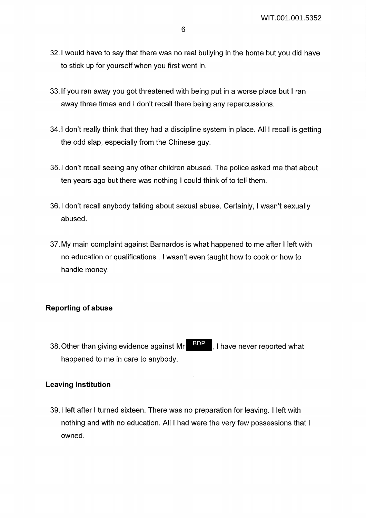- 32.1 would have to say that there was no real bullying in the home but you did have to stick up for yourself when you first went in.
- 33. If you ran away you got threatened with being put in a worse place but I ran away three times and I don't recall there being any repercussions.
- 34.1 don't really think that they had a discipline system in place. All I recall is getting the odd slap, especially from the Chinese guy.
- 35.1 don't recall seeing any other children abused. The police asked me that about ten years ago but there was nothing I could think of to tell them.
- 36.1 don't recall anybody talking about sexual abuse. Certainly, I wasn't sexually abused.
- 37. My main complaint against Barnardos is what happened to me after I left with no education or qualifications . I wasn't even taught how to cook or how to handle money.

## **Reporting of abuse**

38. Other than giving evidence against Mr **BDP**, I have never reported what happened to me in care to anybody. BDP

## **Leaving Institution**

39.1 left after I turned sixteen. There was no preparation for leaving. I left with nothing and with no education. All I had were the very few possessions that I owned.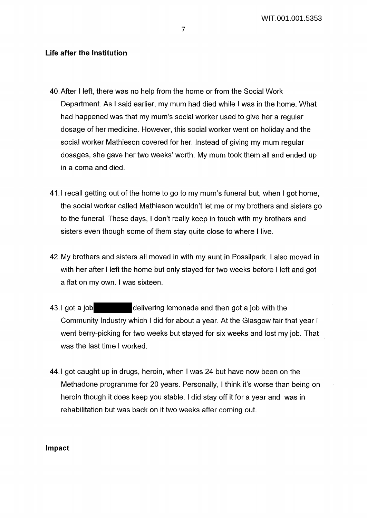## **Life after the Institution**

- 40.After I left, there was no help from the home or from the Social Work Department. As I said earlier, my mum had died while I was in the home. What had happened was that my mum's social worker used to give her a regular dosage of her medicine. However, this social worker went on holiday and the social worker Mathieson covered for her. Instead of giving my mum regular dosages, she gave her two weeks' worth. My mum took them all and ended up in a coma and died.
- 41.1 recall getting out of the home to go to my mum's funeral but, when I got home, the social worker called Mathieson wouldn't let me or my brothers and sisters go to the funeral. These days, I don't really keep in touch with my brothers and sisters even though some of them stay quite close to where I live.
- 42. My brothers and sisters all moved in with my aunt in Possilpark. I also moved in with her after I left the home but only stayed for two weeks before I left and got a flat on my own. I was sixteen.
- 43.1 got a job delivering lemonade and then got a job with the Community Industry which I did for about a year. At the Glasgow fair that year I went berry-picking for two weeks but stayed for six weeks and lost my job. That was the last time I worked.
- 44.1 got caught up in drugs, heroin, when I was 24 but have now been on the Methadone programme for 20 years. Personally, I think it's worse than being on heroin though it does keep you stable. I did stay off it for a year and was in rehabilitation but was back on it two weeks after coming out.

#### **Impact**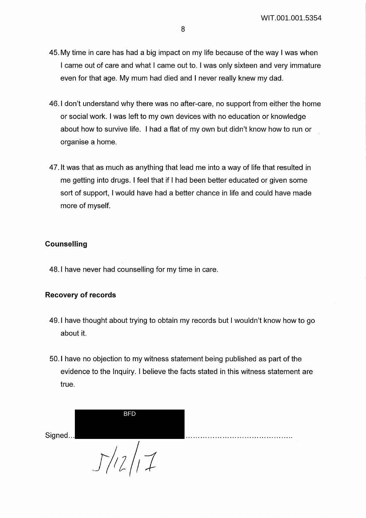- 45. My time in care has had a big impact on my life because of the way I was when I came out of care and what I came out to. I was only sixteen and very immature even for that age. My mum had died and I never really knew my dad.
- 46.1 don't understand why there was no after-care, no support from either the home or social work. I was left to my own devices with no education or knowledge about how to survive life. I had a flat of my own but didn't know how to run or organise a home.
- 47. It was that as much as anything that lead me into a way of life that resulted in me getting into drugs. I feel that if I had been better educated or given some sort of support, I would have had a better chance in life and could have made more of myself.

# **Counselling**

48.1 have never had counselling for my time in care.

# **Recovery of records**

- 49.1 have thought about trying to obtain my records but I wouldn't know how to go about it.
- 50.1 have no objection to my witness statement being published as part of the evidence to the Inquiry. I believe the facts stated in this witness statement are true.

. Signed ... ........................................... . *J/;2/1*  BFD